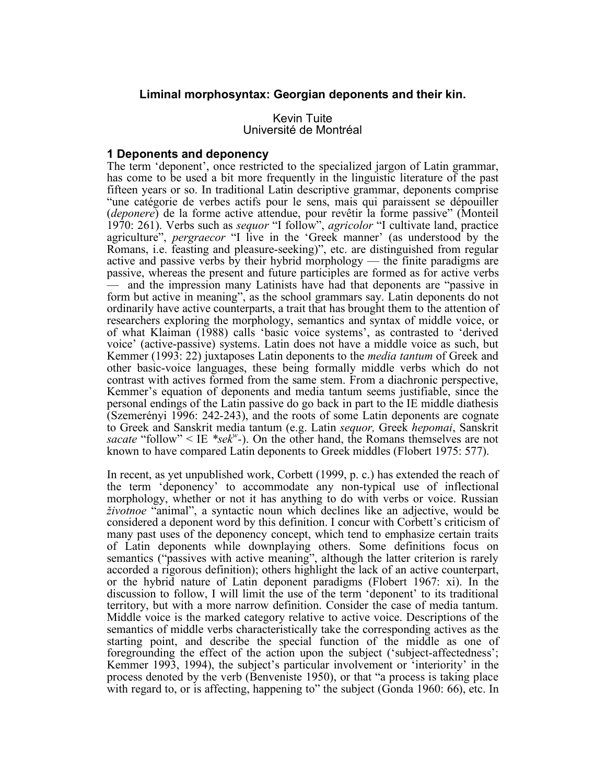# **Liminal morphosyntax: Georgian deponents and their kin.**

Kevin Tuite Université de Montréal

## **1 Deponents and deponency**

The term 'deponent', once restricted to the specialized jargon of Latin grammar, has come to be used a bit more frequently in the linguistic literature of the past fifteen years or so. In traditional Latin descriptive grammar, deponents comprise "une catégorie de verbes actifs pour le sens, mais qui paraissent se dépouiller (*deponere*) de la forme active attendue, pour revêtir la forme passive" (Monteil 1970: 261). Verbs such as *sequor* "I follow", *agricolor* "I cultivate land, practice agriculture", *pergraecor* "I live in the 'Greek manner' (as understood by the Romans, i.e. feasting and pleasure-seeking)", etc. are distinguished from regular active and passive verbs by their hybrid morphology — the finite paradigms are passive, whereas the present and future participles are formed as for active verbs — and the impression many Latinists have had that deponents are "passive in form but active in meaning", as the school grammars say. Latin deponents do not ordinarily have active counterparts, a trait that has brought them to the attention of researchers exploring the morphology, semantics and syntax of middle voice, or of what Klaiman (1988) calls 'basic voice systems', as contrasted to 'derived voice' (active-passive) systems. Latin does not have a middle voice as such, but Kemmer (1993: 22) juxtaposes Latin deponents to the *media tantum* of Greek and other basic-voice languages, these being formally middle verbs which do not contrast with actives formed from the same stem. From a diachronic perspective, Kemmer's equation of deponents and media tantum seems justifiable, since the personal endings of the Latin passive do go back in part to the IE middle diathesis (Szemerényi 1996: 242-243), and the roots of some Latin deponents are cognate to Greek and Sanskrit media tantum (e.g. Latin *sequor,* Greek *hepomai*, Sanskrit sacate "follow"  $\leq$  IE  $*sek^w$ -). On the other hand, the Romans themselves are not known to have compared Latin deponents to Greek middles (Flobert 1975: 577).

In recent, as yet unpublished work, Corbett (1999, p. c.) has extended the reach of the term 'deponency' to accommodate any non-typical use of inflectional morphology, whether or not it has anything to do with verbs or voice. Russian *životnoe* "animal", a syntactic noun which declines like an adjective, would be considered a deponent word by this definition. I concur with Corbett's criticism of many past uses of the deponency concept, which tend to emphasize certain traits of Latin deponents while downplaying others. Some definitions focus on semantics ("passives with active meaning", although the latter criterion is rarely accorded a rigorous definition); others highlight the lack of an active counterpart, or the hybrid nature of Latin deponent paradigms (Flobert 1967: xi). In the or the hybrid nature of Latin deponent paradigms (Flobert 1967: xi). In the discussion to follow, I will limit the use of the term 'deponent' to its traditional territory, but with a more narrow definition. Consider the case of media tantum. Middle voice is the marked category relative to active voice. Descriptions of the semantics of middle verbs characteristically take the corresponding actives as the starting point, and describe the special function of the middle as one of foregrounding the effect of the action upon the subject ('subject-affectedness'; Kemmer 1993, 1994), the subject's particular involvement or 'interiority' in the process denoted by the verb (Benveniste 1950), or that "a process is taking place with regard to, or is affecting, happening to" the subject (Gonda 1960: 66), etc. In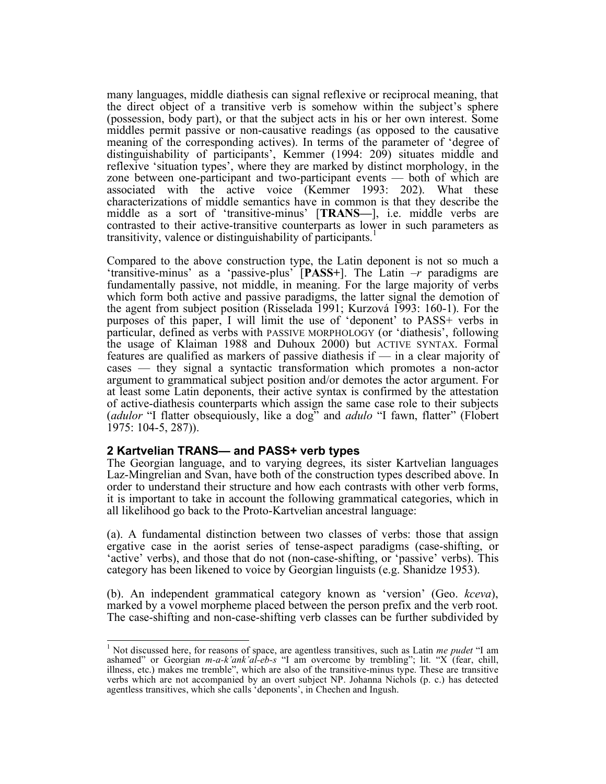many languages, middle diathesis can signal reflexive or reciprocal meaning, that the direct object of a transitive verb is somehow within the subject's sphere (possession, body part), or that the subject acts in his or her own interest. Some middles permit passive or non-causative readings (as opposed to the causative meaning of the corresponding actives). In terms of the parameter of 'degree of distinguishability of participants', Kemmer (1994: 209) situates middle and reflexive 'situation types', where they are marked by distinct morphology, in the zone between one-participant and two-participant events — both of which are associated with the active voice (Kemmer 1993: 202). What these characterizations of middle semantics have in common is that they describe the middle as a sort of 'transitive-minus' [**TRANS—**], i.e. middle verbs are contrasted to their active-transitive counterparts as lower in such parameters as transitivity, valence or distinguishability of participants.<sup>1</sup>

Compared to the above construction type, the Latin deponent is not so much a 'transitive-minus' as a 'passive-plus' [**PASS+**]. The Latin *–r* paradigms are fundamentally passive, not middle, in meaning. For the large majority of verbs which form both active and passive paradigms, the latter signal the demotion of the agent from subject position (Risselada 1991; Kurzová 1993: 160-1). For the purposes of this paper, I will limit the use of 'deponent' to PASS+ verbs in particular, defined as verbs with PASSIVE MORPHOLOGY (or 'diathesis', following the usage of Klaiman 1988 and Duhoux 2000) but ACTIVE SYNTAX. Formal features are qualified as markers of passive diathesis if — in a clear majority of cases — they signal a syntactic transformation which promotes a non-actor argument to grammatical subject position and/or demotes the actor argument. For at least some Latin deponents, their active syntax is confirmed by the attestation of active-diathesis counterparts which assign the same case role to their subjects (*adulor* "I flatter obsequiously, like a dog" and *adulo* "I fawn, flatter" (Flobert 1975: 104-5, 287)).

# **2 Kartvelian TRANS— and PASS+ verb types**

The Georgian language, and to varying degrees, its sister Kartvelian languages Laz-Mingrelian and Svan, have both of the construction types described above. In order to understand their structure and how each contrasts with other verb forms, it is important to take in account the following grammatical categories, which in all likelihood go back to the Proto-Kartvelian ancestral language:

(a). A fundamental distinction between two classes of verbs: those that assign ergative case in the aorist series of tense-aspect paradigms (case-shifting, or 'active' verbs), and those that do not (non-case-shifting, or 'passive' verbs). This category has been likened to voice by Georgian linguists (e.g. Shanidze 1953).

(b). An independent grammatical category known as 'version' (Geo. kceva), marked by a vowel morpheme placed between the person prefix and the verb root. The case-shifting and non-case-shifting verb classes can be further s

 <sup>1</sup> Not discussed here, for reasons of space, are agentless transitives, such as Latin *me pudet* "I am ashamed" or Georgian *m-a-k'ank'al-eb-s* "I am overcome by trembling"; lit. "X (fear, chill, illness, etc.) makes me tremble", which are also of the transitive-minus type. These are transitive verbs which are not accompanied by an overt subject NP. Johanna Nichols (p. c.) has detected agentless transitives, which she calls 'deponents', in Chechen and Ingush.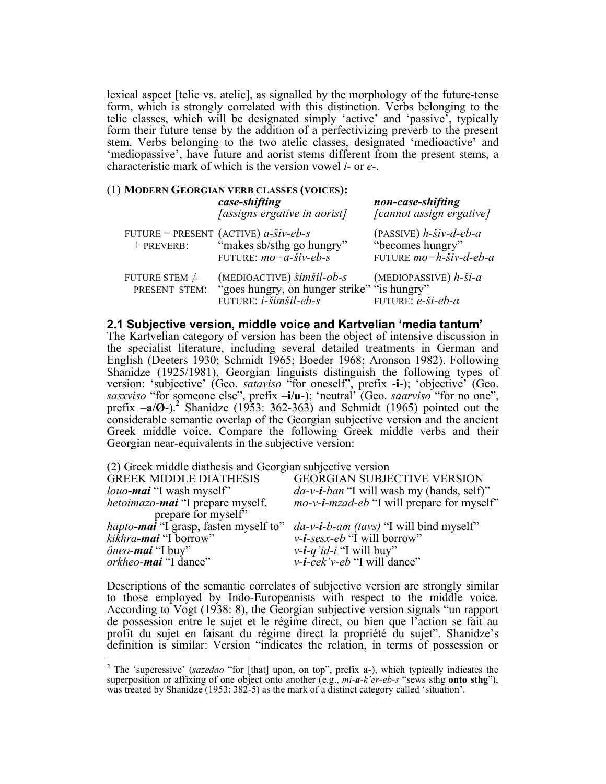lexical aspect [telic vs. atelic], as signalled by the morphology of the future-tense form, which is strongly correlated with this distinction. Verbs belonging to the telic classes, which will be designated simply 'active' and 'passive', typically form their future tense by the addition of a perfectivizing preverb to the present stem. Verbs belonging to the two atelic classes, designated 'medioactive' and 'mediopassive', have future and aorist stems different from the present stems, a characteristic mark of which is the version vowel *i-* or *e-*.

#### (1) **MODERN GEORGIAN VERB CLASSES (VOICES):**

|                                     | case-shifting<br><i>[assigns ergative in aorist]</i>                                                                                          | non-case-shifting<br>[cannot assign ergative]                                       |
|-------------------------------------|-----------------------------------------------------------------------------------------------------------------------------------------------|-------------------------------------------------------------------------------------|
| + PREVERB:                          | FUTURE = PRESENT (ACTIVE) $a$ - $\check{s}$ iv- $eb$ - $s$<br>"makes sb/sthg go hungry"<br>FUTURE: $mo = a - \overline{\check{s}}iv - eb - s$ | $(PASSIVE)$ h- $šiv-d-eb-a$<br>"becomes hungry"<br>FUTURE $mo=h-\check{s}iv-d-eb-a$ |
| FUTURE STEM $\neq$<br>PRESENT STEM: | (MEDIOACTIVE) šimšil-ob-s<br>"goes hungry, on hunger strike" "is hungry"<br>FUTURE: i-šimšil-eb-s                                             | (MEDIOPASSIVE) $h$ - $\check{S}$ <i>i</i> - $a$<br>FUTURE: e-ši-eb-a                |

## **2.1 Subjective version, middle voice and Kartvelian 'media tantum'**

The Kartvelian category of version has been the object of intensive discussion in the specialist literature, including several detailed treatments in German and English (Deeters 1930; Schmidt 1965; Boeder 1968; Aronson 1982). Following Shanidze (1925/1981), Georgian linguists distinguish the following types of version: 'subjective' (Geo. *sataviso* "for oneself", prefix -**i**-); 'objective' (Geo. *sasxviso* "for someone else", prefix –**i/u**-); 'neutral' (Geo. *saarviso* "for no one", prefix –**a/Ø**-). <sup>2</sup> Shanidze (1953: 362-363) and Schmidt (1965) pointed out the considerable semantic overlap of the Georgian subjective version and the ancient Greek middle voice. Compare the following Greek middle verbs and their Georgian near-equivalents in the subjective version:

| <i>mo-v-i-mzad-eb</i> "I will prepare for myself" |
|---------------------------------------------------|
|                                                   |
|                                                   |
|                                                   |
|                                                   |
|                                                   |
| $da$ -v-i-ban "I will wash my (hands, self)"      |

Descriptions of the semantic correlates of subjective version are strongly similar to those employed by Indo-Europeanists with respect to the middle voice. According to Vogt (1938: 8), the Georgian subjective version signals "un rapport de possession entre le sujet et le régime direct, ou bien que l'action se fait au profit du sujet en faisant du régime direct la propriété du sujet". Shanidze's definition is similar: Version "indicates the relation, in terms of possession or

 <sup>2</sup> The 'superessive' (*sazedao* "for [that] upon, on top", prefix **<sup>a</sup>**-), which typically indicates the superposition or affixing of one object onto another (e.g., *mi-a-k'er-eb-s* "sews sthg **onto sthg**"), was treated by Shanidze (1953: 382-5) as the mark of a distinct category called 'situation'.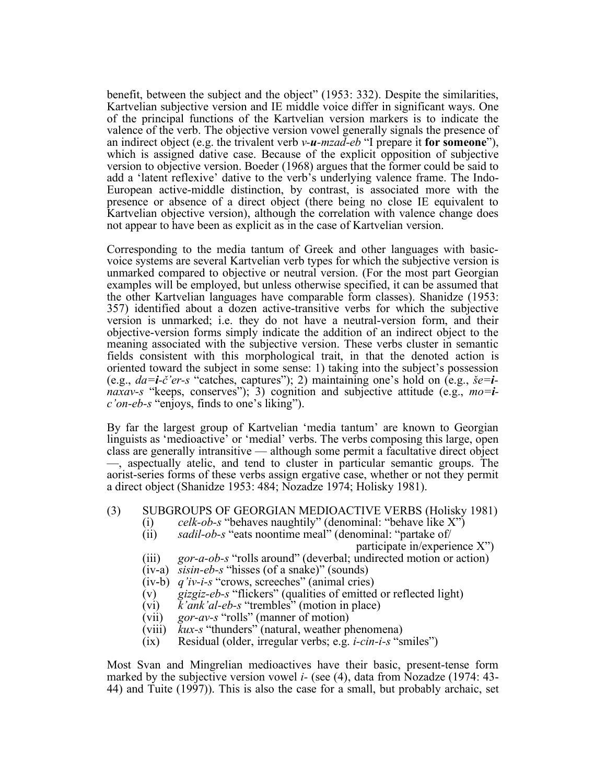benefit, between the subject and the object" (1953: 332). Despite the similarities, Kartvelian subjective version and IE middle voice differ in significant ways. One of the principal functions of the Kartvelian version markers is to indicate the valence of the verb. The objective version vowel generally signals the presence of an indirect object (e.g. the trivalent verb *v-u-mzad-eb* "I prepare it **for someone**"), which is assigned dative case. Because of the explicit opposition of subjective version to objective version. Boeder (1968) argues that the former could be said to add a 'latent reflexive' dative to the verb's underlying valence frame. The Indo-European active-middle distinction, by contrast, is associated more with the presence or absence of a direct object (there being no close IE equivalent to Kartvelian objective version), although the correlation with valence change does not appear to have been as explicit as in the case of Kartvelian version.

Corresponding to the media tantum of Greek and other languages with basicvoice systems are several Kartvelian verb types for which the subjective version is unmarked compared to objective or neutral version. (For the most part Georgian examples will be employed, but unless otherwise specified, it can be assumed that the other Kartvelian languages have comparable form classes). Shanidze (1953: 357) identified about a dozen active-transitive verbs for which the subjective version is unmarked; i.e. they do not have a neutral-version form, and their objective-version forms simply indicate the addition of an indirect object to the meaning associated with the subjective version. These verbs cluster in semantic fields consistent with this morphological trait, in that the denoted action is oriented toward the subject in some sense: 1) taking into the subject's possession (e.g., *da=i-č'er-s* "catches, captures"); 2) maintaining one's hold on (e.g., *še=inaxav-s* "keeps, conserves"); 3) cognition and subjective attitude (e.g., *mo=ic'on-eb-s* "enjoys, finds to one's liking").

By far the largest group of Kartvelian 'media tantum' are known to Georgian linguists as 'medioactive' or 'medial' verbs. The verbs composing this large, open class are generally intransitive — although some permit a facultative direct object —, aspectually atelic, and tend to cluster in particular semantic groups. The aorist-series forms of these verbs assign ergative case, whether or not they permit a direct object (Shanidze 1953: 484; Nozadze 1974; Holisky 1981).

- (3) SUBGROUPS OF GEORGIAN MEDIOACTIVE VERBS (Holisky 1981)
	- (i) *celk-ob-s* "behaves naughtily" (denominal: "behave like X")
	- (ii) *sadil-ob-s* "eats noontime meal" (denominal: "partake of/

participate in/experience X")

- (iii) *gor-a-ob-s* "rolls around" (deverbal; undirected motion or action)
- (iv-a) *sisin-eb-s* "hisses (of a snake)" (sounds)
- (iv-b) *q'iv-i-s* "crows, screeches" (animal cries)
- (v) *gizgiz-eb-s* "flickers" (qualities of emitted or reflected light)
- (vi) *k'ank'al-eb-s* "trembles" (motion in place)
- (vii) *gor-av-s* "rolls" (manner of motion)
- (viii) *kux-s* "thunders" (natural, weather phenomena)
- (ix) Residual (older, irregular verbs; e.g. *i-cin-i-s* "smiles")

Most Svan and Mingrelian medioactives have their basic, present-tense form marked by the subjective version vowel *i-* (see (4), data from Nozadze (1974: 43- 44) and Tuite (1997)). This is also the case for <sup>a</sup> small, but probably archaic, set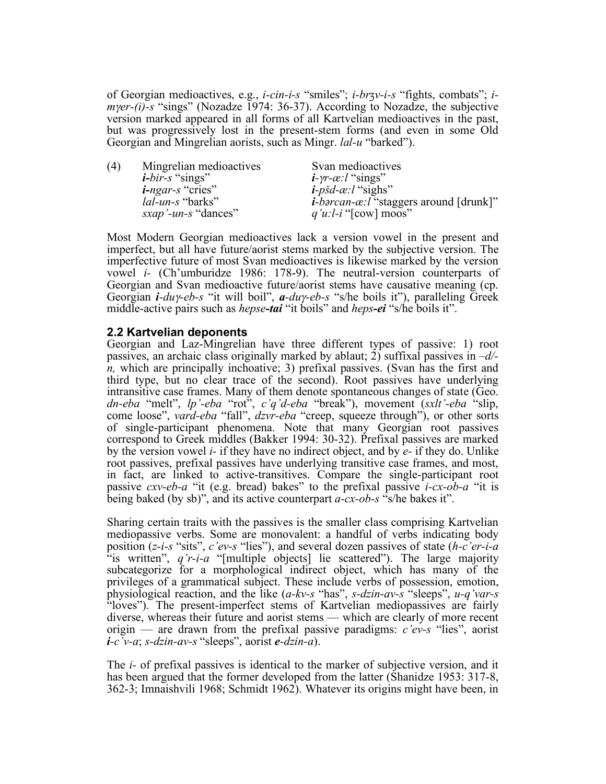of Georgian medioactives, e.g., *i-cin-i-s* "smiles"; *i-brʒv-i-s* "fights, combats"; *imyer-(i)-s* "sings" (Nozadze 1974: 36-37). According to Nozadze, the subjective version marked appeared in all forms of all Kartvelian medioactives in the past, but was progressively lost in the present-stem forms (and even in some Old Georgian and Mingrelian aorists, such as Mingr. *lal-u* "barked").

(4) Mingrelian medioactives Svan medioactives *i-bir-s* "sings" *i-γr-æ:l* "sings"<br>*i-ngar-s* "cries" *i-pšd-æ:l* "sighs *i-ngar-s* "cries" *i-pšd-æ:l* "sighs" *lal-un-s* "barks" *i-barcan-æ:l* "staggers around [drunk]" *sxap* '-*un-s* "dances" *q'u:l-i* "[cow] moos"  $q'u:l-i$  "[cow] moos"

Most Modern Georgian medioactives lack a version vowel in the present and imperfect, but all have future/aorist stems marked by the subjective version. The imperfective future of most Svan medioactives is likewise marked by the version vowel *i-* (Ch'umburidze 1986: 178-9). The neutral-version counterparts of Georgian and Svan medioactive future/aorist stems have causative meaning (cp. Georgian *i-du*γ*-eb-s* "it will boil", *a-du*γ*-eb-s* "s/he boils it"), paralleling Greek middle-active pairs such as *hepse-tai* "it boils" and *heps-ei* "s/he boils it".

# **2.2 Kartvelian deponents**

Georgian and Laz-Mingrelian have three different types of passive: 1) root passives, an archaic class originally marked by ablaut; 2) suffixal passives in *–d/ n,* which are principally inchoative; 3) prefixal passives. (Svan has the first and third type, but no clear trace of the second). Root passives have underlying intransitive case frames. Many of them denote spontaneous changes of state (Geo. *dn-eba* "melt", *lp'-eba* "rot", *c'q'd-eba* "break"), movement (*sxlt'-eba* "slip, come loose", *vard-eba* "fall", *dzvr-eba* "creep, squeeze through"), or other sorts of single-participant phenomena. Note that many Georgian root passives correspond to Greek middles (Bakker 1994: 30-32). Prefixal passives are marked by the version vowel *i-* if they have no indirect object, and by *e-* if they do. Unlike root passives, prefixal passives have underlying transitive case frames, and most, in fact, are linked to active-transitives. Compare the single-participant root passive *cxv-eb-a* "it (e.g. bread) bakes" to the prefixal passive *i-cx-ob-a* "it is being baked (by sb)", and its active counterpart *a-cx-ob-s* "s/he bakes it".

Sharing certain traits with the passives is the smaller class comprising Kartvelian mediopassive verbs. Some are monovalent: a handful of verbs indicating body position (*z-i-s* "sits", *c'ev-s* "lies"), and several dozen passives of state (*h-c'er-i-a* "is written", *q'r-i-a* "[multiple objects] lie scattered"). The large majority subcategorize for a morphological indirect object, which has many of the privileges of a grammatical subject. These include verbs of possession, emotion, physiological reaction, and the like (*a-kv-s* "has", *s-dzin-av-s* "sleeps", *u-q'var-s* "loves"). The present-imperfect stems of Kartvelian mediopassives are fairly diverse, whereas their future and aorist stems — which are clearly of more recent origin — are drawn from the prefixal passive paradigms: *c'ev-s* "lies", aorist *i-c'v-a*; *s-dzin-av-s* "sleeps", aorist *e-dzin-a*).

The *i-* of prefixal passives is identical to the marker of subjective version, and it has been argued that the former developed from the latter (Shanidze 1953: 317-8, 362-3; Imnaishvili 1968; Schmidt 1962). Whatever its origins might have been, in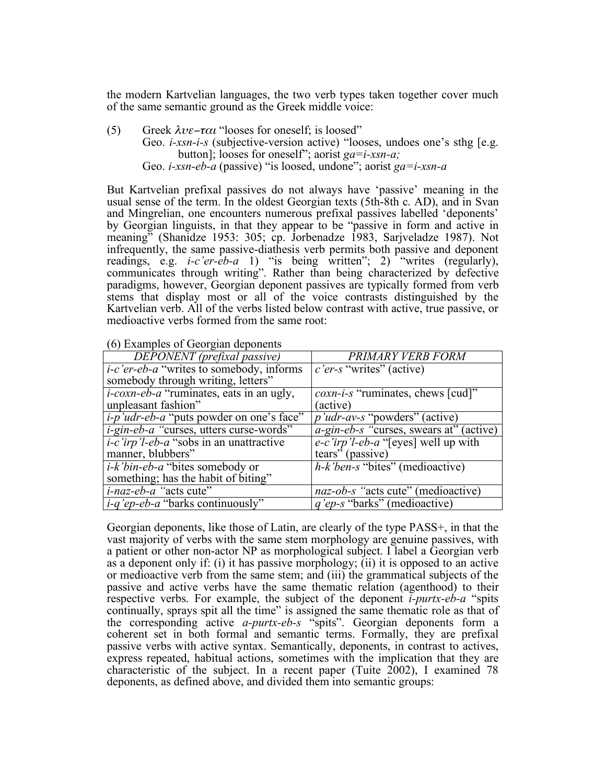the modern Kartvelian languages, the two verb types taken together cover much of the same semantic ground as the Greek middle voice:

- (5) Greek  $\lambda v \epsilon \tau \alpha \iota$  "looses for oneself; is loosed"
	- Geo. *i-xsn-i-s* (subjective-version active) "looses, undoes one's sthg [e.g. button]; looses for oneself"; aorist *ga=i-xsn-a;* Geo. *i-xsn-eb-a* (passive) "is loosed, undone"; aorist *ga=i-xsn-a*

But Kartvelian prefixal passives do not always have 'passive' meaning in the usual sense of the term. In the oldest Georgian texts (5th-8th c. AD), and in Svan and Mingrelian, one encounters numerous prefixal passives labelled 'deponents' by Georgian linguists, in that they appear to be "passive in form and active in meaning" (Shanidze 1953: 305; cp. Jorbenadze 1983, Sarjveladze 1987). Not infrequently, the same passive-diathesis verb permits both passive and deponent readings, e.g. *i-c'er-eb-a* 1) "is being written"; 2) "writes (regularly), communicates through writing". Rather than being characterized by defective paradigms, however, Georgian deponent passives are typically formed from verb stems that display most or all of the voice contrasts distinguished by the Kartvelian verb. All of the verbs listed below contrast with active, true passive, or medioactive verbs formed from the same root:

| DEPONENT (prefixal passive)                      | PRIMARY VERB FORM                                     |
|--------------------------------------------------|-------------------------------------------------------|
| <i>i-c'er-eb-a</i> "writes to somebody, informs" | c'er-s "writes" (active)                              |
| somebody through writing, letters"               |                                                       |
| <i>i-coxn-eb-a</i> "ruminates, eats in an ugly,  | <i>coxn-i-s</i> "ruminates, chews [cud]"              |
| unpleasant fashion"                              | (active)                                              |
| <i>i-p'udr-eb-a</i> "puts powder on one's face"  | <i>p'udr-av-s</i> "powders" (active)                  |
| $i$ -gin-eb-a "curses, utters curse-words"       | $\overline{a}$ -gin-eb-s "curses, swears at" (active) |
| <i>i-c'irp'l-eb-a</i> "sobs in an unattractive"  | e-c'irp'l-eb-a "[eyes] well up with                   |
| manner, blubbers"                                | tears" (passive)                                      |
| <i>i-k'bin-eb-a</i> "bites somebody or           | $h-k$ 'ben-s "bites" (medioactive)                    |
| something; has the habit of biting"              |                                                       |
| <i>i-naz-eb-a</i> "acts cute"                    | naz-ob-s "acts cute" (medioactive)                    |
| <i>i-q'ep-eb-a</i> "barks continuously"          | <i>q'ep-s</i> "barks" (medioactive)                   |

(6) Examples of Georgian deponents

Georgian deponents, like those of Latin, are clearly of the type PASS+, in that the vast majority of verbs with the same stem morphology are genuine passives, with a patient or other non-actor NP as morphological subject. I label a Georgian verb as a deponent only if: (i) it has passive morphology; (ii) it is opposed to an active or medioactive verb from the same stem; and (iii) the grammatical subjects of the passive and active verbs have the same thematic relation (agenthood) to their respective verbs. For example, the subject of the deponent *i-purtx-eb-a* "spits continually, sprays spit all the time" is assigned the same thematic role as that of the corresponding active *a-purtx-eb-s* "spits". Georgian deponents form a coherent set in both formal and semantic terms. Formally, they are prefixal passive verbs with active syntax. Semantically, deponents, in contrast to actives, express repeated, habitual actions, sometimes with the implication that they are characteristic of the subject. In a recent paper (Tuite 2002), I examined 78 deponents, as defined above, and divided them into semantic groups: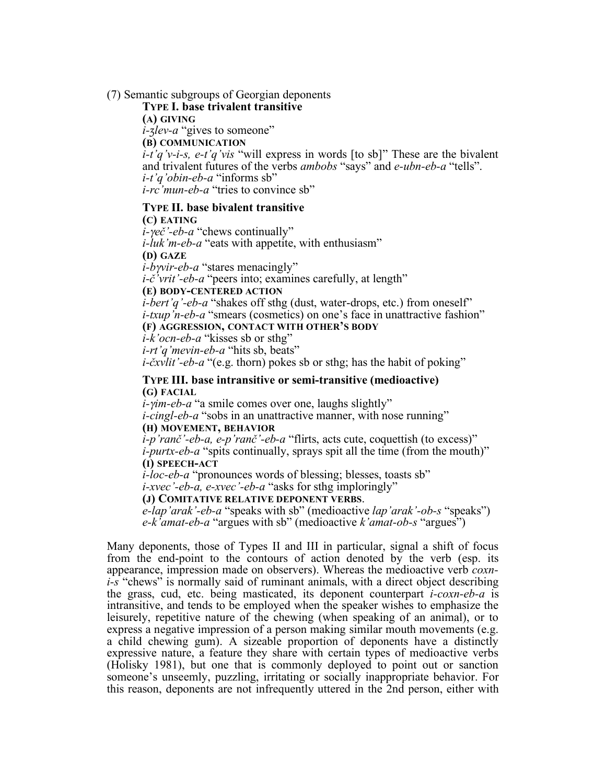## (7) Semantic subgroups of Georgian deponents

#### **TYPE I. base trivalent transitive**

**(A) GIVING**

*i-ʒlev-a* "gives to someone"

**(B) COMMUNICATION**

*i-t'q'v-i-s, e-t'q'vis* "will express in words [to sb]" These are the bivalent and trivalent futures of the verbs *ambobs* "says" and *e-ubn-eb-a* "tells". *i-t'q'obin-eb-a* "informs sb" *i-rc'mun-eb-a* "tries to convince sb"

#### **TYPE II. base bivalent transitive**

**(C) EATING**

*i-*γ*eč'-eb-a* "chews continually" *i-luk'm-eb-a* "eats with appetite, with enthusiasm" **(D) GAZE**

*i-b*γ*vir-eb-a* "stares menacingly"

*i-č'vrit'-eb-a* "peers into; examines carefully, at length"

## **(E) BODY-CENTERED ACTION**

*i-bert'q'-eb-a* "shakes off sthg (dust, water-drops, etc.) from oneself" *i-txup'n-eb-a* "smears (cosmetics) on one's face in unattractive fashion" **(F) AGGRESSION, CONTACT WITH OTHER'S BODY**

*i-k'ocn-eb-a* "kisses sb or sthg"

*i-rt'q'mevin-eb-a* "hits sb, beats"

*i-čxvlit'-eb-a* "(e.g. thorn) pokes sb or sthg; has the habit of poking"

## **TYPE III. base intransitive or semi-transitive (medioactive) (G) FACIAL**

*i-*γ*im-eb-a* "a smile comes over one, laughs slightly"

*i-cingl-eb-a* "sobs in an unattractive manner, with nose running" **(H) MOVEMENT, BEHAVIOR**

# *i-p'ranč'-eb-a, e-p'ranč'-eb-a* "flirts, acts cute, coquettish (to excess)" *i-purtx-eb-a* "spits continually, sprays spit all the time (from the mouth)" **(I) SPEECH-ACT**

*i-loc-eb-a* "pronounces words of blessing; blesses, toasts sb"

*i-xvec'-eb-a, e-xvec'-eb-a* "asks for sthg imploringly"

## **(J) COMITATIVE RELATIVE DEPONENT VERBS**.

*e-lap'arak'-eb-a* "speaks with sb" (medioactive *lap'arak'-ob-s* "speaks") *e-k'amat-eb-a* "argues with sb" (medioactive *k'amat-ob-s* "argues")

Many deponents, those of Types II and III in particular, signal a shift of focus from the end-point to the contours of action denoted by the verb (esp. its appearance, impression made on observers). Whereas the medioactive verb *coxn- i-s* "chews" is normally said of ruminant animals, with a direct object describing the grass, cud, etc. being masticated, its deponent counterpart *i-coxn-eb-a* is intransitive, and tends to be employed when the speaker wishes to emphasize the leisurely, repetitive nature of the chewing (when speaking of an animal), or to express a negative impression of a person making similar mouth movements (e.g. a child chewing gum). A sizeable proportion of deponents have a distinctly expressive nature, a feature they share with certain types of medioactive verbs (Holisky 1981), but one that is commonly deployed to point out or sanction someone's unseemly, puzzling, irritating or socially inappropriate behavior. For this reason, deponents are not infrequently uttered in the 2nd person, either with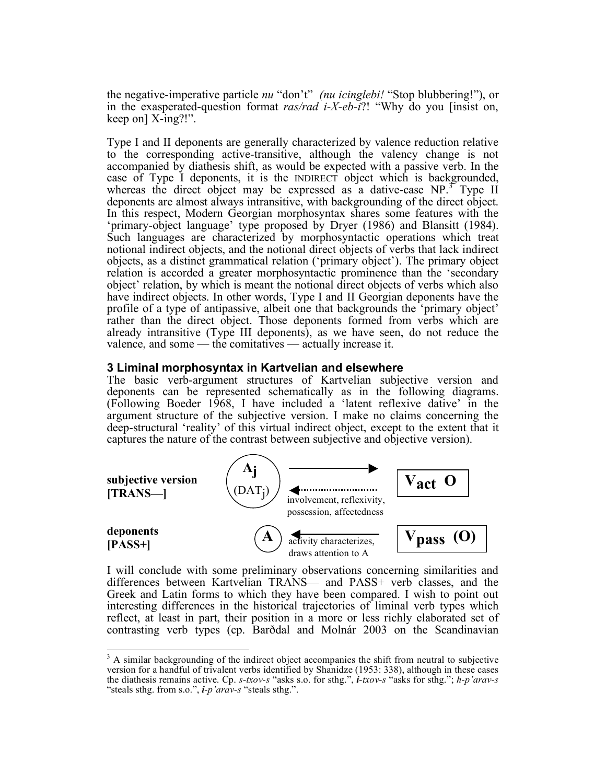the negative-imperative particle *nu* "don't" *(nu icinglebi!* "Stop blubbering!"), or in the exasperated-question format *ras/rad i-X-eb-i*?! "Why do you [insist on, keep on] X-ing?!".

Type I and II deponents are generally characterized by valence reduction relative to the corresponding active-transitive, although the valency change is not accompanied by diathesis shift, as would be expected with a passive verb. In the case of Type I deponents, it is the INDIRECT object which is backgrounded, whereas the direct object may be expressed as a dative-case NP.<sup>3</sup> Type II deponents are almost always intransitive, with backgrounding of the direct object. In this respect, Modern Georgian morphosyntax shares some features with the 'primary-object language' type proposed by Dryer (1986) and Blansitt (1984). Such languages are characterized by morphosyntactic operations which treat notional indirect objects, and the notional direct objects of verbs that lack indirect objects, as a distinct grammatical relation ('primary object'). The primary object relation is accorded a greater morphosyntactic prominence than the 'secondary object' relation, by which is meant the notional direct objects of verbs which also have indirect objects. In other words, Type I and II Georgian deponents have the profile of a type of antipassive, albeit one that backgrounds the 'primary object' rather than the direct object. Those deponents formed from verbs which are already intransitive (Type III deponents), as we have seen, do not reduce the valence, and some — the comitatives — actually increase it.

# **3 Liminal morphosyntax in Kartvelian and elsewhere**

The basic verb-argument structures of Kartvelian subjective version and deponents can be represented schematically as in the following diagrams. (Following Boeder 1968, I have included a 'latent reflexive dative' in the argument structure of the subjective version. I make no claims concerning the deep-structural 'reality' of this virtual indirect object, except to the extent that it captures the nature of the contrast between subjective and objective version).



I will conclude with some preliminary observations concerning similarities and differences between Kartvelian TRANS— and PASS+ verb classes, and the Greek and Latin forms to which they have been compared. I wish to point out interesting differences in the historical trajectories of liminal verb types which reflect, at least in part, their position in a more or less richly elaborated set of contrasting verb types (cp. Barðdal and Molnár 2003 on the Scandinavian

<sup>&</sup>lt;sup>3</sup> A similar backgrounding of the indirect object accompanies the shift from neutral to subjective version for a handful of trivalent verbs identified by Shanidze (1953: 338), although in these cases the diathesis remains active. Cp. *s-txov-s* "asks s.o. for sthg.", *i-txov-s* "asks for sthg."; *h-p'arav-s* "steals sthg. from s.o.", *i-p'arav-s* "steals sthg.".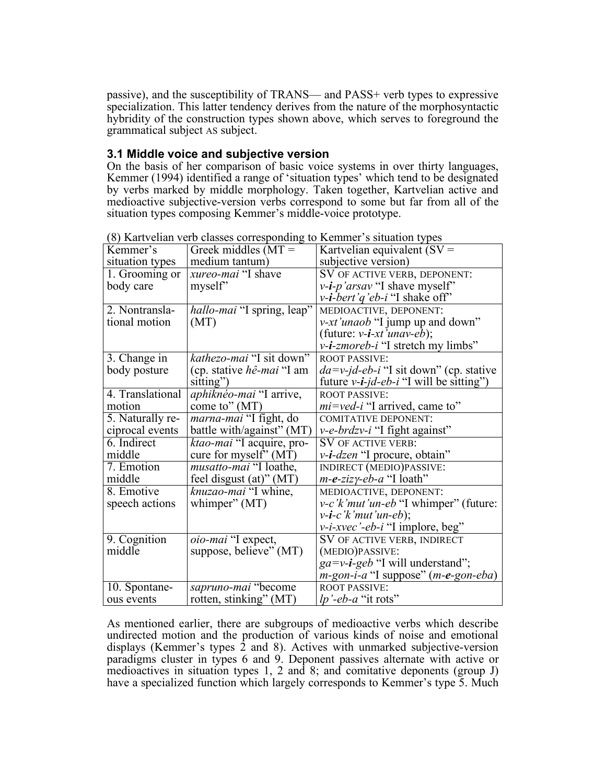passive), and the susceptibility of TRANS— and PASS+ verb types to expressive specialization. This latter tendency derives from the nature of the morphosyntactic hybridity of the construction types shown above, which serves to foreground the grammatical subject AS subject.

# **3.1 Middle voice and subjective version**

On the basis of her comparison of basic voice systems in over thirty languages, Kemmer (1994) identified a range of 'situation types' which tend to be designated by verbs marked by middle morphology. Taken together, Kartvelian active and medioactive subjective-version verbs correspond to some but far from all of the situation types composing Kemmer's middle-voice prototype.

|                  | (o) isartvenan vero elasses corresponding to iscilliner s'shuation types |                                                                               |
|------------------|--------------------------------------------------------------------------|-------------------------------------------------------------------------------|
| Kemmer's         | Greek middles $(MT =$                                                    | Kartvelian equivalent $(SV =$                                                 |
| situation types  | medium tantum)                                                           | subjective version)                                                           |
| 1. Grooming or   | xureo-mai "I shave                                                       | SV OF ACTIVE VERB, DEPONENT:                                                  |
| body care        | myself"                                                                  | $v$ - <i>i-p'arsav</i> "I shave myself"                                       |
|                  |                                                                          | $v$ - <i>i-bert'q'eb-i</i> "I shake off"                                      |
| 2. Nontransla-   | hallo-mai "I spring, leap"                                               | MEDIOACTIVE, DEPONENT:                                                        |
| tional motion    | (MT)                                                                     | <i>v-xt'unaob</i> "I jump up and down"                                        |
|                  |                                                                          | (future: $v$ - <i>i-xt'unav-eb</i> );                                         |
|                  |                                                                          | <i>v</i> - <i>i</i> -zmoreb- <i>i</i> "I stretch my limbs"                    |
| 3. Change in     | kathezo-mai "I sit down"                                                 | <b>ROOT PASSIVE:</b>                                                          |
| body posture     | (cp. stative <i>hê-mai</i> "I am                                         | $da=v$ -jd-eb-i "I sit down" (cp. stative                                     |
|                  | sitting")                                                                | future $v$ - <i>i</i> - <i>jd</i> - <i>eb</i> - <i>i</i> "I will be sitting") |
| 4. Translational | aphiknéo-mai "I arrive,                                                  | <b>ROOT PASSIVE:</b>                                                          |
| motion           | come to" $(MT)$                                                          | <i>mi</i> =ved-i "I arrived, came to"                                         |
| 5. Naturally re- | <i>marna-mai</i> "I fight, do                                            | <b>COMITATIVE DEPONENT:</b>                                                   |
| ciprocal events  | battle with/against" (MT)                                                | v-e-brdzv-i "I fight against"                                                 |
| 6. Indirect      | ktao-mai "I acquire, pro-                                                | SV OF ACTIVE VERB:                                                            |
| middle           | cure for myself" $(M\bar{T})$                                            | <i>v</i> - <i>i</i> - <i>dzen</i> "I procure, obtain"                         |
| 7. Emotion       | musatto-mai "I loathe,                                                   | INDIRECT (MEDIO)PASSIVE:                                                      |
| middle           | feel disgust $(at)$ " (MT)                                               | $m$ -e-zizy-eb-a "I loath"                                                    |
| 8. Emotive       | knuzao-mai "I whine,                                                     | MEDIOACTIVE, DEPONENT:                                                        |
| speech actions   | whimper" $(MT)$                                                          | $v-c'$ <i>k'mut'un-eb</i> "I whimper" (future:                                |
|                  |                                                                          | $v$ - <b>i</b> -c'k'mut'un-eb);                                               |
|                  |                                                                          | $v$ - <i>i-xvec</i> '-eb- <i>i</i> "I implore, beg"                           |
| 9. Cognition     | oio-mai "I expect,                                                       | SV OF ACTIVE VERB, INDIRECT                                                   |
| middle           | suppose, believe" (MT)                                                   | (MEDIO)PASSIVE:                                                               |
|                  |                                                                          | $ga=v-i-geb$ "I will understand";                                             |
|                  |                                                                          | $m$ -gon-i-a "I suppose" (m-e-gon-eba)                                        |
| 10. Spontane-    | sapruno-mai "become                                                      | <b>ROOT PASSIVE:</b>                                                          |
| ous events       | rotten, stinking" (MT)                                                   | <i>lp'-eb-a</i> "it rots"                                                     |

(8) Kartvelian verb classes corresponding to Kemmer's situation types

As mentioned earlier, there are subgroups of medioactive verbs which describe undirected motion and the production of various kinds of noise and emotional displays (Kemmer's types  $\overline{2}$  and 8). Actives with unmarked subjective-version paradigms cluster in types 6 and 9. Deponent passives alternate with active or medioactives in situation types 1, 2 and 8; and comitative deponents (group J) have a specialized function which largely corresponds to Kemmer's type 5. Much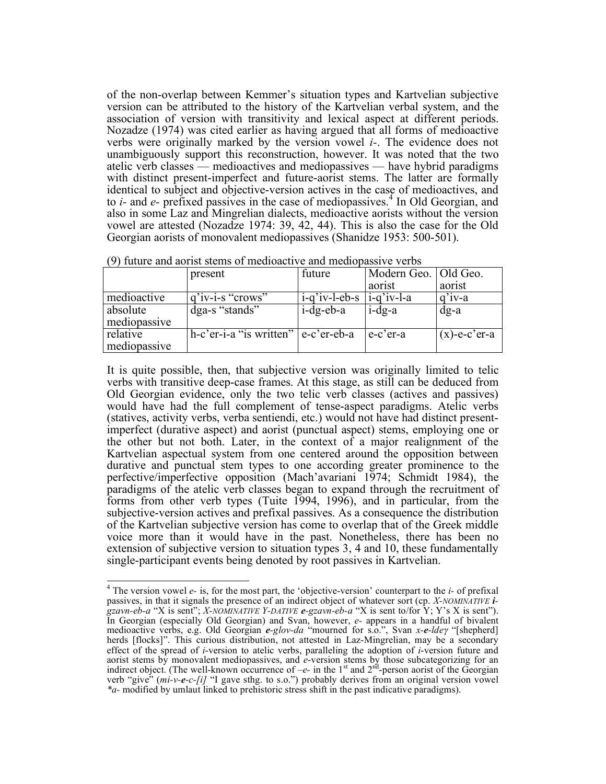of the non-overlap between Kemmer's situation types and Kartvelian subjective version can be attributed to the history of the Kartvelian verbal system, and the association of version with transitivity and lexical aspect at different periods. Nozadze (1974) was cited earlier as having argued that all forms of medioactive verbs were originally marked by the version vowel *i-*. The evidence does not unambiguously support this reconstruction, however. It was noted that the two atelic verb classes — medioactives and mediopassives — have hybrid paradigms with distinct present-imperfect and future-aorist stems. The latter are formally identical to subject and objective-version actives in the case of medioactives, and to *i-* and *e-* prefixed passives in the case of mediopassives. <sup>4</sup> In Old Georgian, and also in some Laz and Mingrelian dialects, medioactive aorists without the version vowel are attested (Nozadze 1974: 39, 42, 44). This is also the case for the Old Georgian aorists of monovalent mediopassives (Shanidze 1953: 500-501).

|              | present                 | future           | Modern Geo.   Old Geo.       |                 |  |
|--------------|-------------------------|------------------|------------------------------|-----------------|--|
|              |                         |                  | aorist                       | aorist          |  |
| medioactive  | $q'$ iv-i-s "crows"     | $i$ -q'iv-l-eb-s | $\left  i-a' \right $ iv-l-a | $q$ 'iv-a       |  |
| absolute     | dga-s "stands"          | $i$ -dg-eb-a     | $i$ -dg-a                    | $dg-a$          |  |
| mediopassive |                         |                  |                              |                 |  |
| relative     | h-c'er-i-a "is written" | e-c'er-eb-a      | e-c'er-a                     | $(x)$ -e-c'er-a |  |
| mediopassive |                         |                  |                              |                 |  |

|  | (9) future and aorist stems of medioactive and mediopassive verbs |  |  |  |  |
|--|-------------------------------------------------------------------|--|--|--|--|
|  |                                                                   |  |  |  |  |

It is quite possible, then, that subjective version was originally limited to telic verbs with transitive deep-case frames. At this stage, as still can be deduced from Old Georgian evidence, only the two telic verb classes (actives and passives) would have had the full complement of tense-aspect paradigms. Atelic verbs (statives, activity verbs, verba sentiendi, etc.) would not have had distinct presentimperfect (durative aspect) and aorist (punctual aspect) stems, employing one or the other but not both. Later, in the context of a major realignment of the Kartvelian aspectual system from one centered around the opposition between durative and punctual stem types to one according greater prominence to the perfective/imperfective opposition (Mach'avariani 1974; Schmidt 1984), the paradigms of the atelic verb classes began to expand through the recruitment of forms from other verb types (Tuite 1994, 1996), and in particular, from the subjective-version actives and prefixal passives. As a consequence the distribution of the Kartvelian subjective version has come to overlap that of the Greek middle voice more than it would have in the past. Nonetheless, there has been no extension of subjective version to situation types 3, 4 and 10, these fundamentally single-participant events being denoted by root passives in Kartvelian.

 <sup>4</sup> The version vowel *e-* is, for the most part, the 'objective-version' counterpart to the *i-* of prefixal passives, in that it signals the presence of an indirect object of whatever sort (cp. *X-NOMINATIVE igzavn-eb-a* "X is sent"; *X-NOMINATIVE Y-DATIVE e-gzavn-eb-a* "X is sent to/for Y; Y's X is sent"). In Georgian (especially Old Georgian) and Svan, however, *e-* appears in a handful of bivalent medioactive verbs, e.g. Old Georgian *e-glov-da* "mourned for s.o.", Svan *x-e-lde*<sup>γ</sup> "[shepherd] herds [flocks]". This curious distribution, not attested in Laz-Mingrelian, may be a secondary effect of the spread of *i*-version to atelic verbs, paralleling the adoption of *i*-version future and aorist stems by monovalent mediopassives, and *e*-version stems by those subcategorizing for an indirect object. (The well-known occurrence of  $-e$ - in the  $1<sup>st</sup>$  and  $2<sup>nd</sup>$ -person aorist of the Georgian verb "give" (*mi-v-e-c-[i]* "I gave sthg. to s.o.") probably derives from an original version vowel *\*a-* modified by umlaut linked to prehistoric stress shift in the past indicative paradigms).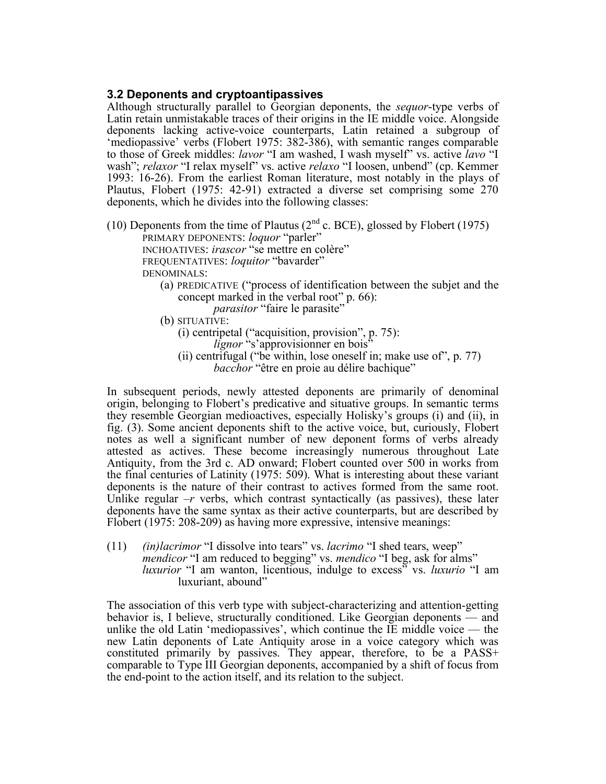# **3.2 Deponents and cryptoantipassives**

Although structurally parallel to Georgian deponents, the *sequor*-type verbs of Latin retain unmistakable traces of their origins in the IE middle voice. Alongside deponents lacking active-voice counterparts, Latin retained a subgroup of 'mediopassive' verbs (Flobert 1975: 382-386), with semantic ranges comparable to those of Greek middles: *lavor* "I am washed, I wash myself" vs. active *lavo* "I wash"; *relaxor* "I relax myself" vs. active *relaxo* "I loosen, unbend" (cp. Kemmer 1993: 16-26). From the earliest Roman literature, most notably in the plays of Plautus, Flobert (1975: 42-91) extracted a diverse set comprising some 270 deponents, which he divides into the following classes:

(10) Deponents from the time of Plautus ( $2<sup>nd</sup>$  c. BCE), glossed by Flobert (1975) PRIMARY DEPONENTS: *loquor* "parler" INCHOATIVES: *irascor* "se mettre en colère"

FREQUENTATIVES: *loquitor* "bavarder"

DENOMINALS:

(a) PREDICATIVE ("process of identification between the subjet and the concept marked in the verbal root" p. 66):

*parasitor* "faire le parasite"

(b) SITUATIVE:

- (i) centripetal ("acquisition, provision", p. 75):
	- *lignor* "s'approvisionner en bois"
- (ii) centrifugal ("be within, lose oneself in; make use of", p. 77) *bacchor* "être en proie au délire bachique"

In subsequent periods, newly attested deponents are primarily of denominal origin, belonging to Flobert's predicative and situative groups. In semantic terms they resemble Georgian medioactives, especially Holisky's groups (i) and (ii), in fig. (3). Some ancient deponents shift to the active voice, but, curiously, Flobert notes as well a significant number of new deponent forms of verbs already attested as actives. These become increasingly numerous throughout Late Antiquity, from the 3rd c. AD onward; Flobert counted over 500 in works from the final centuries of Latinity (1975: 509). What is interesting about these variant deponents is the nature of their contrast to actives formed from the same root. Unlike regular *–r* verbs, which contrast syntactically (as passives), these later deponents have the same syntax as their active counterparts, but are described by Flobert (1975: 208-209) as having more expressive, intensive meanings:

(11) *(in)lacrimor* "I dissolve into tears" vs. *lacrimo* "I shed tears, weep" *mendicor* "I am reduced to begging" vs. *mendico* "I beg, ask for alms" *luxurior* "I am wanton, licentious, indulge to excess" vs. *luxurio* "I am luxuriant, abound"

The association of this verb type with subject-characterizing and attention-getting behavior is, I believe, structurally conditioned. Like Georgian deponents — and unlike the old Latin 'mediopassives', which continue the IE middle voice — the new Latin deponents of Late Antiquity arose in a voice category which was constituted primarily by passives. They appear, therefore, to be a PASS+ comparable to Type III Georgian deponents, accompanied by a shift of focus from the end-point to the action itself, and its relation to the subject.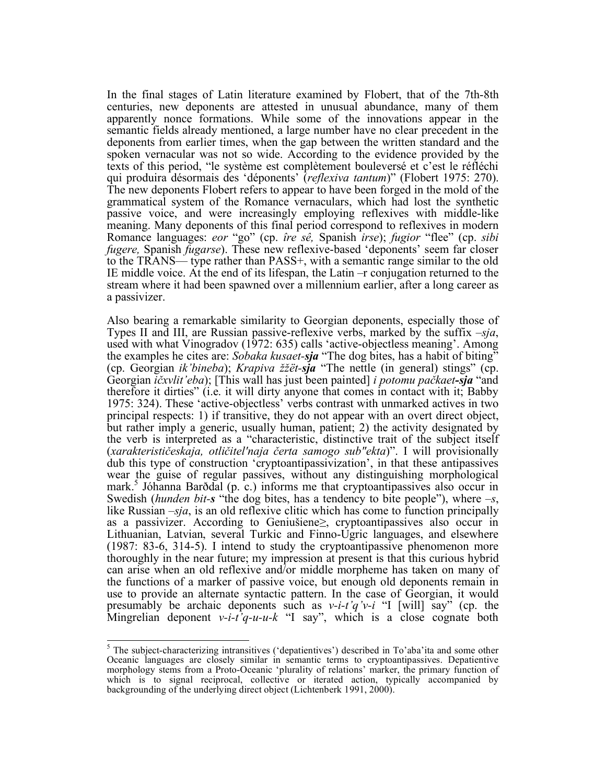In the final stages of Latin literature examined by Flobert, that of the 7th-8th centuries, new deponents are attested in unusual abundance, many of them apparently nonce formations. While some of the innovations appear in the semantic fields already mentioned, a large number have no clear precedent in the deponents from earlier times, when the gap between the written standard and the spoken vernacular was not so wide. According to the evidence provided by the texts of this period, "le système est complètement bouleversé et c'est le réfléchi qui produira désormais des 'déponents' (*reflexiva tantum*)" (Flobert 1975: 270). The new deponents Flobert refers to appear to have been forged in the mold of the grammatical system of the Romance vernaculars, which had lost the synthetic passive voice, and were increasingly employing reflexives with middle-like meaning. Many deponents of this final period correspond to reflexives in modern Romance languages: *eor* "go" (cp. *îre sê,* Spanish *irse*); *fugior* "flee" (cp. *sibi fugere,* Spanish *fugarse*). These new reflexive-based 'deponents' seem far closer to the TRANS— type rather than PASS+, with a semantic range similar to the old IE middle voice. At the end of its lifespan, the Latin –r conjugation returned to the stream where it had been spawned over a millennium earlier, after a long career as a passivizer.

Also bearing a remarkable similarity to Georgian deponents, especially those of Types II and III, are Russian passive-reflexive verbs, marked by the suffix *–sja*, used with what Vinogradov (1972: 635) calls 'active-objectless meaning'. Among the examples he cites are: *Sobaka kusaet-sja* "The dog bites, has a habit of biting" (cp. Georgian *ik'bineba*); *Krapiva žžët-sja* "The nettle (in general) stings" (cp. Georgian *ičxvlit'eba*); [This wall has just been painted] *i potomu pačkaet-sja* "and therefore it dirties" (i.e. it will dirty anyone that comes in contact with it; Babby 1975: 324). These 'active-objectless' verbs contrast with unmarked actives in two principal respects: 1) if transitive, they do not appear with an overt direct object, but rather imply a generic, usually human, patient; 2) the activity designated by the verb is interpreted as a "characteristic, distinctive trait of the subject itself (*xarakterističeskaja, otličitel'naja čerta samogo sub"ekta*)". I will provisionally dub this type of construction 'cryptoantipassivization', in that these antipassives wear the guise of regular passives, without any distinguishing morphological mark.<sup>5</sup> Jóhanna Barðdal (p. c.) informs me that cryptoantipassives also occur in Swedish (*hunden bit-s* "the dog bites, has a tendency to bite people"), where *–s*, like Russian *–sja*, is an old reflexive clitic which has come to function principally as a passivizer. According to Geniušiene≥, cryptoantipassives also occur in Lithuanian, Latvian, several Turkic and Finno-Ugric languages, and elsewhere (1987: 83-6, 314-5). I intend to study the cryptoantipassive phenomenon more thoroughly in the near future; my impression at present is that this curious hybrid can arise when an old reflexive and/or middle morpheme has taken on many of the functions of a marker of passive voice, but enough old deponents remain in use to provide an alternate syntactic pattern. In the case of Georgian, it would presumably be archaic deponents such as *v-i-t'q'v-i* "I [will] say" (cp. the Mingrelian deponent  $v-i-i'q-u-u-k$  "I say", which is a close cognate both

<sup>&</sup>lt;sup>5</sup> The subject-characterizing intransitives ('depatientives') described in To'aba'ita and some other Oceanic languages are closely similar in semantic terms to cryptoantipassives. Depatientive morphology stems from a Proto-Oceanic 'plurality of relations' marker, the primary function of which is to signal reciprocal, collective or iterated action, typically accompanied by backgrounding of the underlying direct object (Lichtenberk 1991, 2000).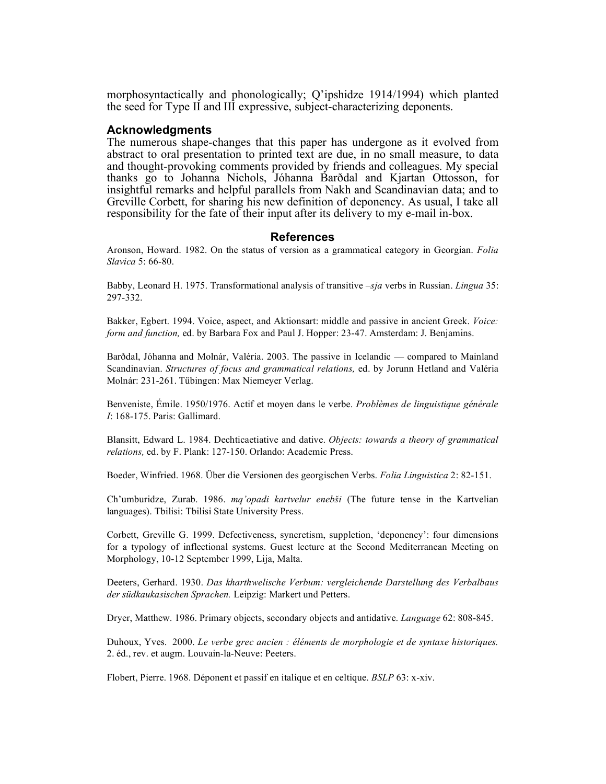morphosyntactically and phonologically; Q'ipshidze 1914/1994) which planted the seed for Type II and III expressive, subject-characterizing deponents.

#### **Acknowledgments**

The numerous shape-changes that this paper has undergone as it evolved from abstract to oral presentation to printed text are due, in no small measure, to data and thought-provoking comments provided by friends and colleagues. My special thanks go to Johanna Nichols, Jóhanna Barðdal and Kjartan Ottosson, for insightful remarks and helpful parallels from Nakh and Scandinavian data; and to Greville Corbett, for sharing his new definition of deponency. As usual, I take all responsibility for the fate of their input after its delivery to my e-mail in-box.

#### **References**

Aronson, Howard. 1982. On the status of version as a grammatical category in Georgian. *Folia Slavica* 5: 66-80.

Babby, Leonard H. 1975. Transformational analysis of transitive *–sja* verbs in Russian. *Lingua* 35: 297-332.

Bakker, Egbert. 1994. Voice, aspect, and Aktionsart: middle and passive in ancient Greek. *Voice: form and function,* ed. by Barbara Fox and Paul J. Hopper: 23-47. Amsterdam: J. Benjamins.

Barðdal, Jóhanna and Molnár, Valéria. 2003. The passive in Icelandic — compared to Mainland Scandinavian. *Structures of focus and grammatical relations,* ed. by Jorunn Hetland and Valéria Molnár: 231-261. Tübingen: Max Niemeyer Verlag.

Benveniste, Émile. 1950/1976. Actif et moyen dans le verbe. *Problèmes de linguistique générale I*: 168-175. Paris: Gallimard.

Blansitt, Edward L. 1984. Dechticaetiative and dative. *Objects: towards a theory of grammatical relations,* ed. by F. Plank: 127-150. Orlando: Academic Press.

Boeder, Winfried. 1968. Über die Versionen des georgischen Verbs. *Folia Linguistica* 2: 82-151.

Ch'umburidze, Zurab. 1986. *mq'opadi kartvelur enebši* (The future tense in the Kartvelian languages). Tbilisi: Tbilisi State University Press.

Corbett, Greville G. 1999. Defectiveness, syncretism, suppletion, 'deponency': four dimensions for a typology of inflectional systems. Guest lecture at the Second Mediterranean Meeting on Morphology, 10-12 September 1999, Lija, Malta.

Deeters, Gerhard. 1930. *Das kharthwelische Verbum: vergleichende Darstellung des Verbalbaus der südkaukasischen Sprachen.* Leipzig: Markert und Petters.

Dryer, Matthew. 1986. Primary objects, secondary objects and antidative. *Language* 62: 808-845.

Duhoux, Yves. 2000. *Le verbe grec ancien : éléments de morphologie et de syntaxe historiques.* 2. éd., rev. et augm. Louvain-la-Neuve: Peeters.

Flobert, Pierre. 1968. Déponent et passif en italique et en celtique. *BSLP* 63: x-xiv.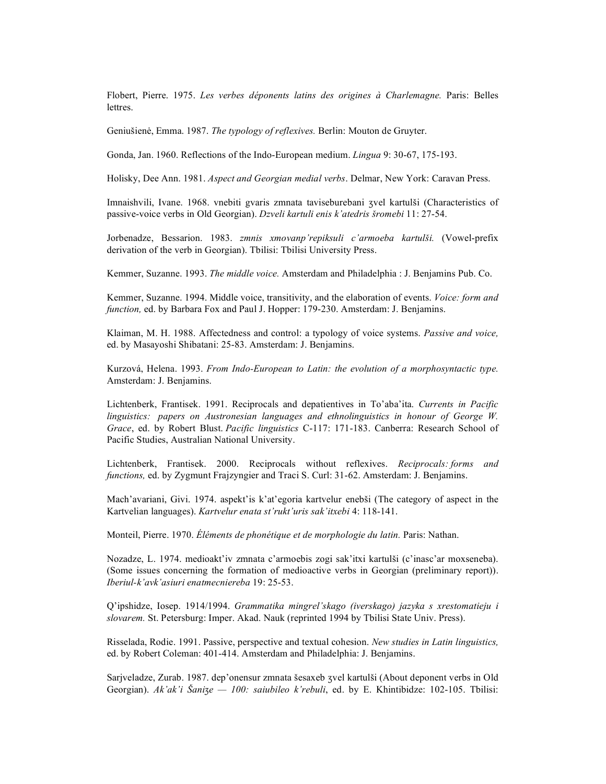Flobert, Pierre. 1975. *Les verbes déponents latins des origines à Charlemagne.* Paris: Belles lettres.

Geniušienė, Emma. 1987. *The typology of reflexives.* Berlin: Mouton de Gruyter.

Gonda, Jan. 1960. Reflections of the Indo-European medium. *Lingua* 9: 30-67, 175-193.

Holisky, Dee Ann. 1981. *Aspect and Georgian medial verbs*. Delmar, New York: Caravan Press.

Imnaishvili, Ivane. 1968. vnebiti gvaris zmnata taviseburebani ʒvel kartulši (Characteristics of passive-voice verbs in Old Georgian). *Dzveli kartuli enis k'atedris šromebi* 11: 27-54.

Jorbenadze, Bessarion. 1983. *zmnis xmovanp'repiksuli c'armoeba kartulši.* (Vowel-prefix derivation of the verb in Georgian). Tbilisi: Tbilisi University Press.

Kemmer, Suzanne. 1993. *The middle voice.* Amsterdam and Philadelphia : J. Benjamins Pub. Co.

Kemmer, Suzanne. 1994. Middle voice, transitivity, and the elaboration of events. *Voice: form and function,* ed. by Barbara Fox and Paul J. Hopper: 179-230. Amsterdam: J. Benjamins.

Klaiman, M. H. 1988. Affectedness and control: a typology of voice systems. *Passive and voice,* ed. by Masayoshi Shibatani: 25-83. Amsterdam: J. Benjamins.

Kurzová, Helena. 1993. *From Indo-European to Latin: the evolution of a morphosyntactic type.* Amsterdam: J. Benjamins.

Lichtenberk, Frantisek. 1991. Reciprocals and depatientives in To'aba'ita. *Currents in Pacific linguistics: papers on Austronesian languages and ethnolinguistics in honour of George W. Grace*, ed. by Robert Blust. *Pacific linguistics* C-117: 171-183. Canberra: Research School of Pacific Studies, Australian National University.

Lichtenberk, Frantisek. 2000. Reciprocals without reflexives. *Reciprocals: forms and functions,* ed. by Zygmunt Frajzyngier and Traci S. Curl: 31-62. Amsterdam: J. Benjamins.

Mach'avariani, Givi. 1974. aspekt'is k'at'egoria kartvelur enebši (The category of aspect in the Kartvelian languages). *Kartvelur enata st'rukt'uris sak'itxebi* 4: 118-141.

Monteil, Pierre. 1970. *Éléments de phonétique et de morphologie du latin.* Paris: Nathan.

Nozadze, L. 1974. medioakt'iv zmnata c'armoebis zogi sak'itxi kartulši (c'inasc'ar moxseneba). (Some issues concerning the formation of medioactive verbs in Georgian (preliminary report)). *Iberiul-k'avk'asiuri enatmecniereba* 19: 25-53.

Q'ipshidze, Iosep. 1914/1994. *Grammatika mingrel'skago (iverskago) jazyka s xrestomatieju i slovarem.* St. Petersburg: Imper. Akad. Nauk (reprinted 1994 by Tbilisi State Univ. Press).

Risselada, Rodie. 1991. Passive, perspective and textual cohesion. *New studies in Latin linguistics,* ed. by Robert Coleman: 401-414. Amsterdam and Philadelphia: J. Benjamins.

Sarjveladze, Zurab. 1987. dep'onensur zmnata šesaxeb ʒvel kartulši (About deponent verbs in Old Georgian). *Ak'ak'i Šanize* — 100: *saiubileo k'rebuli*, ed. by E. Khintibidze: 102-105. Tbilisi: